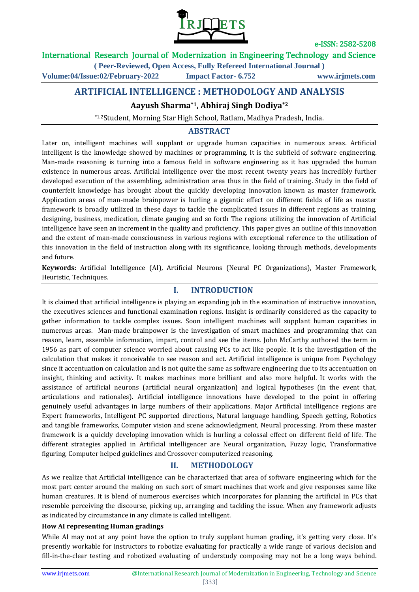

#### International Research Journal of Modernization in Engineering Technology and Science

**( Peer-Reviewed, Open Access, Fully Refereed International Journal )**

**Volume:04/Issue:02/February-2022 Impact Factor- 6.752 www.irjmets.com**

## **ARTIFICIAL INTELLIGENCE : METHODOLOGY AND ANALYSIS**

### **Aayush Sharma\*1, Abhiraj Singh Dodiya\*2**

\*1,2Student, Morning Star High School, Ratlam, Madhya Pradesh, India.

### **ABSTRACT**

Later on, intelligent machines will supplant or upgrade human capacities in numerous areas. Artificial intelligent is the knowledge showed by machines or programming. It is the subfield of software engineering. Man-made reasoning is turning into a famous field in software engineering as it has upgraded the human existence in numerous areas. Artificial intelligence over the most recent twenty years has incredibly further developed execution of the assembling, administration area thus in the field of training. Study in the field of counterfeit knowledge has brought about the quickly developing innovation known as master framework. Application areas of man-made brainpower is hurling a gigantic effect on different fields of life as master framework is broadly utilized in these days to tackle the complicated issues in different regions as training, designing, business, medication, climate gauging and so forth The regions utilizing the innovation of Artificial intelligence have seen an increment in the quality and proficiency. This paper gives an outline of this innovation and the extent of man-made consciousness in various regions with exceptional reference to the utilization of this innovation in the field of instruction along with its significance, looking through methods, developments and future.

**Keywords:** Artificial Intelligence (AI), Artificial Neurons (Neural PC Organizations), Master Framework, Heuristic, Techniques.

#### **I. INTRODUCTION**

It is claimed that artificial intelligence is playing an expanding job in the examination of instructive innovation, the executives sciences and functional examination regions. Insight is ordinarily considered as the capacity to gather information to tackle complex issues. Soon intelligent machines will supplant human capacities in numerous areas. Man-made brainpower is the investigation of smart machines and programming that can reason, learn, assemble information, impart, control and see the items. John McCarthy authored the term in 1956 as part of computer science worried about causing PCs to act like people. It is the investigation of the calculation that makes it conceivable to see reason and act. Artificial intelligence is unique from Psychology since it accentuation on calculation and is not quite the same as software engineering due to its accentuation on insight, thinking and activity. It makes machines more brilliant and also more helpful. It works with the assistance of artificial neurons (artificial neural organization) and logical hypotheses (in the event that, articulations and rationales). Artificial intelligence innovations have developed to the point in offering genuinely useful advantages in large numbers of their applications. Major Artificial intelligence regions are Expert frameworks, Intelligent PC supported directions, Natural language handling, Speech getting, Robotics and tangible frameworks, Computer vision and scene acknowledgment, Neural processing. From these master framework is a quickly developing innovation which is hurling a colossal effect on different field of life. The different strategies applied in Artificial intelligencer are Neural organization, Fuzzy logic, Transformative figuring, Computer helped guidelines and Crossover computerized reasoning.

#### **II. METHODOLOGY**

As we realize that Artificial intelligence can be characterized that area of software engineering which for the most part center around the making on such sort of smart machines that work and give responses same like human creatures. It is blend of numerous exercises which incorporates for planning the artificial in PCs that resemble perceiving the discourse, picking up, arranging and tackling the issue. When any framework adjusts as indicated by circumstance in any climate is called intelligent.

#### **How AI representing Human gradings**

While AI may not at any point have the option to truly supplant human grading, it's getting very close. It's presently workable for instructors to robotize evaluating for practically a wide range of various decision and fill-in-the-clear testing and robotized evaluating of understudy composing may not be a long ways behind.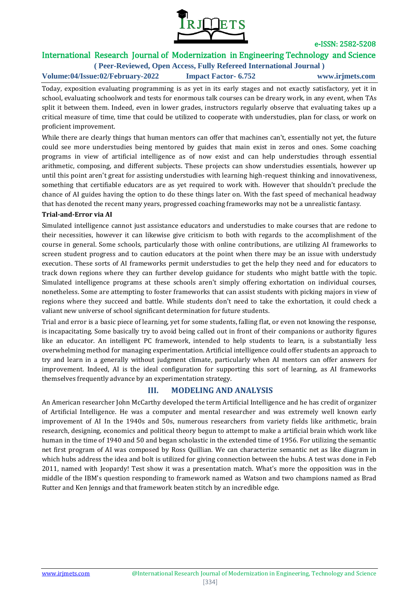

# International Research Journal of Modernization in Engineering Technology and Science

**( Peer-Reviewed, Open Access, Fully Refereed International Journal )**

**Volume:04/Issue:02/February-2022 Impact Factor- 6.752 www.irjmets.com**

Today, exposition evaluating programming is as yet in its early stages and not exactly satisfactory, yet it in school, evaluating schoolwork and tests for enormous talk courses can be dreary work, in any event, when TAs split it between them. Indeed, even in lower grades, instructors regularly observe that evaluating takes up a critical measure of time, time that could be utilized to cooperate with understudies, plan for class, or work on proficient improvement.

While there are clearly things that human mentors can offer that machines can't, essentially not yet, the future could see more understudies being mentored by guides that main exist in zeros and ones. Some coaching programs in view of artificial intelligence as of now exist and can help understudies through essential arithmetic, composing, and different subjects. These projects can show understudies essentials, however up until this point aren't great for assisting understudies with learning high-request thinking and innovativeness, something that certifiable educators are as yet required to work with. However that shouldn't preclude the chance of AI guides having the option to do these things later on. With the fast speed of mechanical headway that has denoted the recent many years, progressed coaching frameworks may not be a unrealistic fantasy.

#### **Trial-and-Error via AI**

Simulated intelligence cannot just assistance educators and understudies to make courses that are redone to their necessities, however it can likewise give criticism to both with regards to the accomplishment of the course in general. Some schools, particularly those with online contributions, are utilizing AI frameworks to screen student progress and to caution educators at the point when there may be an issue with understudy execution. These sorts of AI frameworks permit understudies to get the help they need and for educators to track down regions where they can further develop guidance for students who might battle with the topic. Simulated intelligence programs at these schools aren't simply offering exhortation on individual courses, nonetheless. Some are attempting to foster frameworks that can assist students with picking majors in view of regions where they succeed and battle. While students don't need to take the exhortation, it could check a valiant new universe of school significant determination for future students.

Trial and error is a basic piece of learning, yet for some students, falling flat, or even not knowing the response, is incapacitating. Some basically try to avoid being called out in front of their companions or authority figures like an educator. An intelligent PC framework, intended to help students to learn, is a substantially less overwhelming method for managing experimentation. Artificial intelligence could offer students an approach to try and learn in a generally without judgment climate, particularly when AI mentors can offer answers for improvement. Indeed, AI is the ideal configuration for supporting this sort of learning, as AI frameworks themselves frequently advance by an experimentation strategy.

### **III. MODELING AND ANALYSIS**

An American researcher John McCarthy developed the term Artificial Intelligence and he has credit of organizer of Artificial Intelligence. He was a computer and mental researcher and was extremely well known early improvement of AI In the 1940s and 50s, numerous researchers from variety fields like arithmetic, brain research, designing, economics and political theory begun to attempt to make a artificial brain which work like human in the time of 1940 and 50 and began scholastic in the extended time of 1956. For utilizing the semantic net first program of AI was composed by Ross Quillian. We can characterize semantic net as like diagram in which hubs address the idea and bolt is utilized for giving connection between the hubs. A test was done in Feb 2011, named with Jeopardy! Test show it was a presentation match. What's more the opposition was in the middle of the IBM's question responding to framework named as Watson and two champions named as Brad Rutter and Ken Jennigs and that framework beaten stitch by an incredible edge.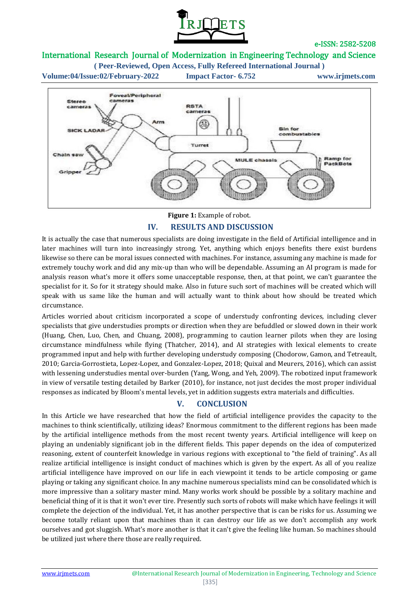

## International Research Journal of Modernization in Engineering Technology and Science

**( Peer-Reviewed, Open Access, Fully Refereed International Journal )**



**Figure 1:** Example of robot.

### **IV. RESULTS AND DISCUSSION**

It is actually the case that numerous specialists are doing investigate in the field of Artificial intelligence and in later machines will turn into increasingly strong. Yet, anything which enjoys benefits there exist burdens likewise so there can be moral issues connected with machines. For instance, assuming any machine is made for extremely touchy work and did any mix-up than who will be dependable. Assuming an AI program is made for analysis reason what's more it offers some unacceptable response, then, at that point, we can't guarantee the specialist for it. So for it strategy should make. Also in future such sort of machines will be created which will speak with us same like the human and will actually want to think about how should be treated which circumstance.

Articles worried about criticism incorporated a scope of understudy confronting devices, including clever specialists that give understudies prompts or direction when they are befuddled or slowed down in their work (Huang, Chen, Luo, Chen, and Chuang, 2008), programming to caution learner pilots when they are losing circumstance mindfulness while flying (Thatcher, 2014), and AI strategies with lexical elements to create programmed input and help with further developing understudy composing (Chodorow, Gamon, and Tetreault, 2010; Garcia-Gorrostieta, Lopez-Lopez, and Gonzalez-Lopez, 2018; Quixal and Meurers, 2016), which can assist with lessening understudies mental over-burden (Yang, Wong, and Yeh, 2009). The robotized input framework in view of versatile testing detailed by Barker (2010), for instance, not just decides the most proper individual responses as indicated by Bloom's mental levels, yet in addition suggests extra materials and difficulties.

## **V. CONCLUSION**

In this Article we have researched that how the field of artificial intelligence provides the capacity to the machines to think scientifically, utilizing ideas? Enormous commitment to the different regions has been made by the artificial intelligence methods from the most recent twenty years. Artificial intelligence will keep on playing an undeniably significant job in the different fields. This paper depends on the idea of computerized reasoning, extent of counterfeit knowledge in various regions with exceptional to "the field of training". As all realize artificial intelligence is insight conduct of machines which is given by the expert. As all of you realize artificial intelligence have improved on our life in each viewpoint it tends to be article composing or game playing or taking any significant choice. In any machine numerous specialists mind can be consolidated which is more impressive than a solitary master mind. Many works work should be possible by a solitary machine and beneficial thing of it is that it won't ever tire. Presently such sorts of robots will make which have feelings it will complete the dejection of the individual. Yet, it has another perspective that is can be risks for us. Assuming we become totally reliant upon that machines than it can destroy our life as we don't accomplish any work ourselves and got sluggish. What's more another is that it can't give the feeling like human. So machines should be utilized just where there those are really required.